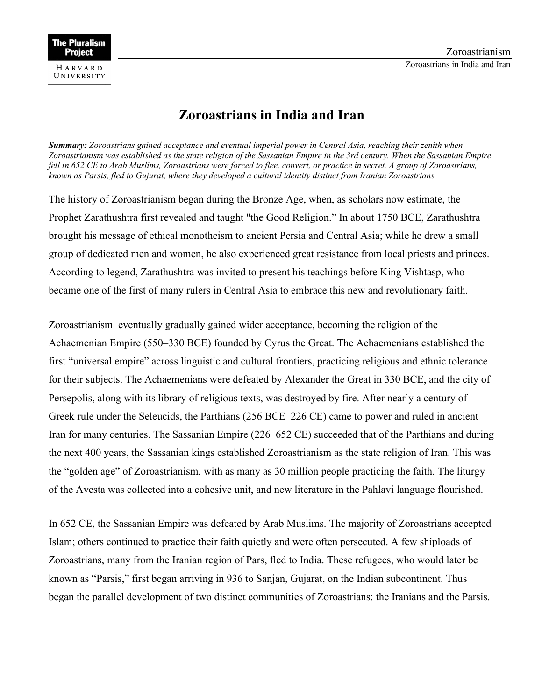

## **Zoroastrians in India and Iran**

*Summary: Zoroastrians gained acceptance and eventual imperial power in Central Asia, reaching their zenith when Zoroastrianism was established as the state religion of the Sassanian Empire in the 3rd century. When the Sassanian Empire fell in 652 CE to Arab Muslims, Zoroastrians were forced to flee, convert, or practice in secret. A group of Zoroastrians, known as Parsis, fled to Gujurat, where they developed a cultural identity distinct from Iranian Zoroastrians.*

The history of Zoroastrianism began during the Bronze Age, when, as scholars now estimate, the Prophet Zarathushtra first revealed and taught "the Good Religion." In about 1750 BCE, Zarathushtra brought his message of ethical monotheism to ancient Persia and Central Asia; while he drew a small group of dedicated men and women, he also experienced great resistance from local priests and princes. According to legend, Zarathushtra was invited to present his teachings before King Vishtasp, who became one of the first of many rulers in Central Asia to embrace this new and revolutionary faith.

Zoroastrianism eventually gradually gained wider acceptance, becoming the religion of the Achaemenian Empire (550–330 BCE) founded by Cyrus the Great. The Achaemenians established the first "universal empire" across linguistic and cultural frontiers, practicing religious and ethnic tolerance for their subjects. The Achaemenians were defeated by Alexander the Great in 330 BCE, and the city of Persepolis, along with its library of religious texts, was destroyed by fire. After nearly a century of Greek rule under the Seleucids, the Parthians (256 BCE–226 CE) came to power and ruled in ancient Iran for many centuries. The Sassanian Empire (226–652 CE) succeeded that of the Parthians and during the next 400 years, the Sassanian kings established Zoroastrianism as the state religion of Iran. This was the "golden age" of Zoroastrianism, with as many as 30 million people practicing the faith. The liturgy of the Avesta was collected into a cohesive unit, and new literature in the Pahlavi language flourished.

In 652 CE, the Sassanian Empire was defeated by Arab Muslims. The majority of Zoroastrians accepted Islam; others continued to practice their faith quietly and were often persecuted. A few shiploads of Zoroastrians, many from the Iranian region of Pars, fled to India. These refugees, who would later be known as "Parsis," first began arriving in 936 to Sanjan, Gujarat, on the Indian subcontinent. Thus began the parallel development of two distinct communities of Zoroastrians: the Iranians and the Parsis.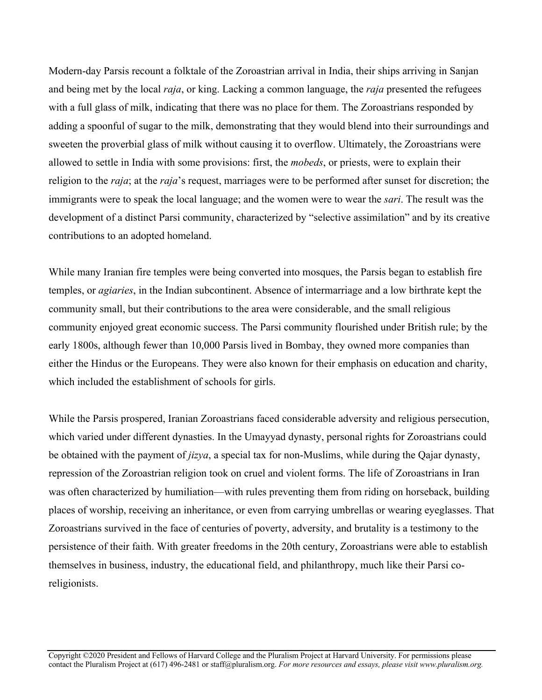Modern-day Parsis recount a folktale of the Zoroastrian arrival in India, their ships arriving in Sanjan and being met by the local *raja*, or king. Lacking a common language, the *raja* presented the refugees with a full glass of milk, indicating that there was no place for them. The Zoroastrians responded by adding a spoonful of sugar to the milk, demonstrating that they would blend into their surroundings and sweeten the proverbial glass of milk without causing it to overflow. Ultimately, the Zoroastrians were allowed to settle in India with some provisions: first, the *mobeds*, or priests, were to explain their religion to the *raja*; at the *raja*'s request, marriages were to be performed after sunset for discretion; the immigrants were to speak the local language; and the women were to wear the *sari*. The result was the development of a distinct Parsi community, characterized by "selective assimilation" and by its creative contributions to an adopted homeland.

While many Iranian fire temples were being converted into mosques, the Parsis began to establish fire temples, or *agiaries*, in the Indian subcontinent. Absence of intermarriage and a low birthrate kept the community small, but their contributions to the area were considerable, and the small religious community enjoyed great economic success. The Parsi community flourished under British rule; by the early 1800s, although fewer than 10,000 Parsis lived in Bombay, they owned more companies than either the Hindus or the Europeans. They were also known for their emphasis on education and charity, which included the establishment of schools for girls.

While the Parsis prospered, Iranian Zoroastrians faced considerable adversity and religious persecution, which varied under different dynasties. In the Umayyad dynasty, personal rights for Zoroastrians could be obtained with the payment of *jizya*, a special tax for non-Muslims, while during the Qajar dynasty, repression of the Zoroastrian religion took on cruel and violent forms. The life of Zoroastrians in Iran was often characterized by humiliation—with rules preventing them from riding on horseback, building places of worship, receiving an inheritance, or even from carrying umbrellas or wearing eyeglasses. That Zoroastrians survived in the face of centuries of poverty, adversity, and brutality is a testimony to the persistence of their faith. With greater freedoms in the 20th century, Zoroastrians were able to establish themselves in business, industry, the educational field, and philanthropy, much like their Parsi coreligionists.

Copyright ©2020 President and Fellows of Harvard College and the Pluralism Project at Harvard University. For permissions please contact the Pluralism Project at (617) 496-2481 or staff@pluralism.org. *For more resources and essays, please visit www.pluralism.org.*